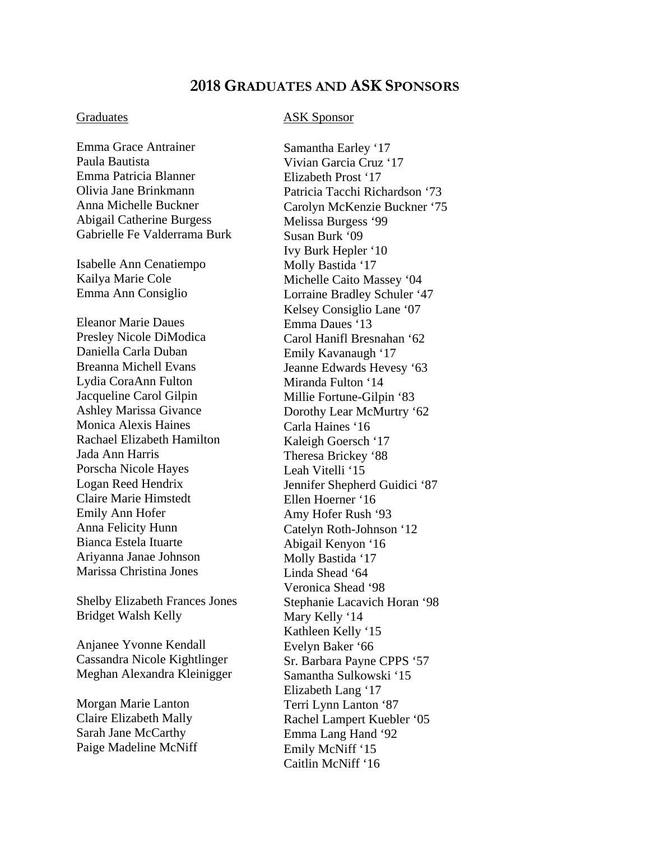## **2018 GRADUATES AND ASK SPONSORS**

Emma Grace Antrainer Paula Bautista Emma Patricia Blanner Olivia Jane Brinkmann Anna Michelle Buckner Abigail Catherine Burgess Gabrielle Fe Valderrama Burk

Isabelle Ann Cenatiempo Kailya Marie Cole Emma Ann Consiglio

Eleanor Marie Daues Presley Nicole DiModica Daniella Carla Duban Breanna Michell Evans Lydia CoraAnn Fulton Jacqueline Carol Gilpin Ashley Marissa Givance Monica Alexis Haines Rachael Elizabeth Hamilton Jada Ann Harris Porscha Nicole Hayes Logan Reed Hendrix Claire Marie Himstedt Emily Ann Hofer Anna Felicity Hunn Bianca Estela Ituarte Ariyanna Janae Johnson Marissa Christina Jones

Shelby Elizabeth Frances Jones Bridget Walsh Kelly

Anjanee Yvonne Kendall Cassandra Nicole Kightlinger Meghan Alexandra Kleinigger

Morgan Marie Lanton Claire Elizabeth Mally Sarah Jane McCarthy Paige Madeline McNiff

## Graduates ASK Sponsor

Samantha Earley '17 Vivian Garcia Cruz '17 Elizabeth Prost '17 Patricia Tacchi Richardson '73 Carolyn McKenzie Buckner '75 Melissa Burgess '99 Susan Burk '09 Ivy Burk Hepler '10 Molly Bastida '17 Michelle Caito Massey '04 Lorraine Bradley Schuler '47 Kelsey Consiglio Lane '07 Emma Daues '13 Carol Hanifl Bresnahan '62 Emily Kavanaugh '17 Jeanne Edwards Hevesy '63 Miranda Fulton '14 Millie Fortune-Gilpin '83 Dorothy Lear McMurtry '62 Carla Haines '16 Kaleigh Goersch '17 Theresa Brickey '88 Leah Vitelli '15 Jennifer Shepherd Guidici '87 Ellen Hoerner '16 Amy Hofer Rush '93 Catelyn Roth-Johnson '12 Abigail Kenyon '16 Molly Bastida '17 Linda Shead '64 Veronica Shead '98 Stephanie Lacavich Horan '98 Mary Kelly '14 Kathleen Kelly '15 Evelyn Baker '66 Sr. Barbara Payne CPPS '57 Samantha Sulkowski '15 Elizabeth Lang '17 Terri Lynn Lanton '87 Rachel Lampert Kuebler '05 Emma Lang Hand '92 Emily McNiff '15 Caitlin McNiff '16